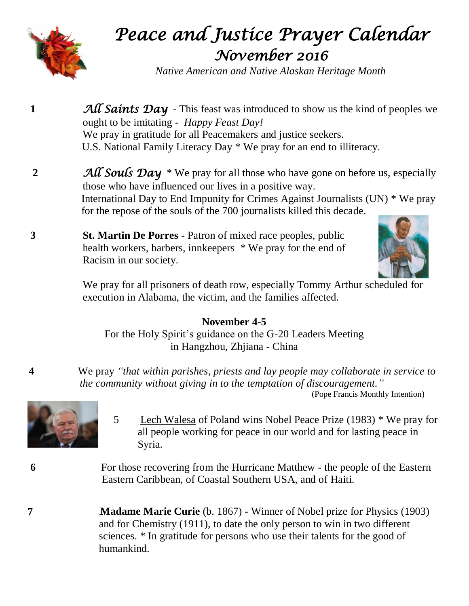

## *Peace and Justice Prayer Calendar November 2016*

*Native American and Native Alaskan Heritage Month*

- **1 All Saints Day** This feast was introduced to show us the kind of peoples we ought to be imitating - *Happy Feast Day!* We pray in gratitude for all Peacemakers and justice seekers. U.S. National Family Literacy Day \* We pray for an end to illiteracy.
- **2** *All Souls Day* \* We pray for all those who have gone on before us, especially those who have influenced our lives in a positive way. International Day to End Impunity for Crimes Against Journalists (UN) \* We pray for the repose of the souls of the 700 journalists killed this decade.
- **3 St. Martin De Porres** Patron of mixed race peoples, public health workers, barbers, innkeepers \* We pray for the end of Racism in our society.



We pray for all prisoners of death row, especially Tommy Arthur scheduled for execution in Alabama, the victim, and the families affected.

## **November 4-5**

For the Holy Spirit's guidance on the G-20 Leaders Meeting in Hangzhou, Zhjiana - China

**4** We pray *"that within parishes, priests and lay people may collaborate in service to*  *the community without giving in to the temptation of discouragement."*

(Pope Francis Monthly Intention)

- 
- 5 Lech Walesa of Poland wins Nobel Peace Prize (1983) \* We pray for all people working for peace in our world and for lasting peace in Syria.

6 **For those recovering from the Hurricane Matthew - the people of the Eastern** Eastern Caribbean, of Coastal Southern USA, and of Haiti.

**7 Madame Marie Curie** (b. 1867) - Winner of Nobel prize for Physics (1903) and for Chemistry (1911), to date the only person to win in two different sciences. \* In gratitude for persons who use their talents for the good of humankind.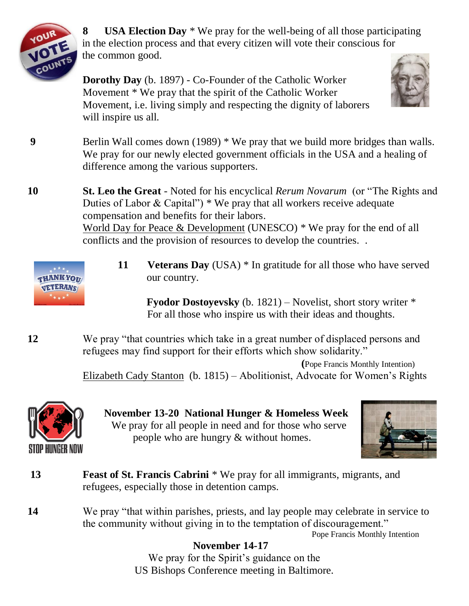

**8 USA Election Day** \* We pray for the well-being of all those participating in the election process and that every citizen will vote their conscious for the common good.

**Dorothy Day** (b. 1897) - Co-Founder of the Catholic Worker Movement \* We pray that the spirit of the Catholic Worker Movement, i.e. living simply and respecting the dignity of laborers will inspire us all.



**9** Berlin Wall comes down (1989) \* We pray that we build more bridges than walls. We pray for our newly elected government officials in the USA and a healing of difference among the various supporters.

**10 St. Leo the Great** - Noted for his encyclical *Rerum Novarum* (or "The Rights and Duties of Labor & Capital")  $*$  We pray that all workers receive adequate compensation and benefits for their labors. World Day for Peace & Development (UNESCO) \* We pray for the end of all conflicts and the provision of resources to develop the countries. .



**11** Veterans Day (USA) \* In gratitude for all those who have served our country.

 **Fyodor Dostoyevsky** (b. 1821) – Novelist, short story writer \* For all those who inspire us with their ideas and thoughts.

**12** We pray "that countries which take in a great number of displaced persons and refugees may find support for their efforts which show solidarity."

> **(**Pope Francis Monthly Intention) Elizabeth Cady Stanton (b. 1815) – Abolitionist, Advocate for Women's Rights



 **November 13-20 National Hunger & Homeless Week** We pray for all people in need and for those who serve people who are hungry & without homes.



- **13 Feast of St. Francis Cabrini** \* We pray for all immigrants, migrants, and refugees, especially those in detention camps.
- **14** We pray "that within parishes, priests, and lay people may celebrate in service to the community without giving in to the temptation of discouragement."

Pope Francis Monthly Intention

## **November 14-17**

We pray for the Spirit's guidance on the US Bishops Conference meeting in Baltimore.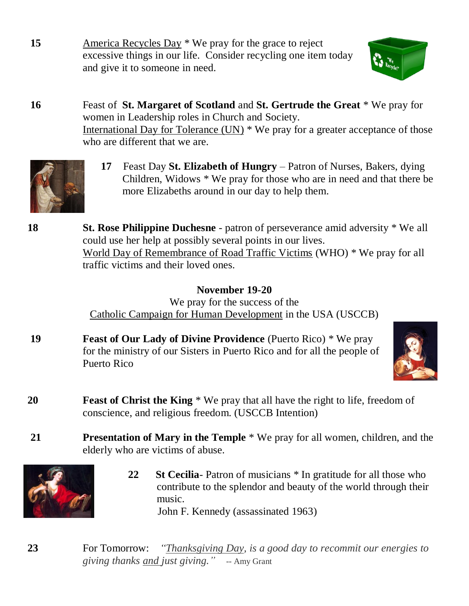15 America Recycles Day \* We pray for the grace to reject excessive things in our life. Consider recycling one item today and give it to someone in need.



**16** Feast of **St. Margaret of Scotland** and **St. Gertrude the Great** \* We pray for women in Leadership roles in Church and Society. International Day for Tolerance (UN) \* We pray for a greater acceptance of those who are different that we are.



 **17** Feast Day **St. Elizabeth of Hungry** – Patron of Nurses, Bakers, dying Children, Widows \* We pray for those who are in need and that there be more Elizabeths around in our day to help them.



## **November 19-20**

We pray for the success of the Catholic Campaign for Human Development in the USA (USCCB)

**19 Feast of Our Lady of Divine Providence** (Puerto Rico) \* We pray for the ministry of our Sisters in Puerto Rico and for all the people of Puerto Rico



- **20 Feast of Christ the King** \* We pray that all have the right to life, freedom of conscience, and religious freedom. (USCCB Intention)
- **21 Presentation of Mary in the Temple** \* We pray for all women, children, and the elderly who are victims of abuse.



**22 St Cecilia**- Patron of musicians \* In gratitude for all those who contribute to the splendor and beauty of the world through their music. John F. Kennedy (assassinated 1963)

**23** For Tomorrow: *"Thanksgiving Day, is a good day to recommit our energies to giving thanks and just giving."* -- Amy Grant